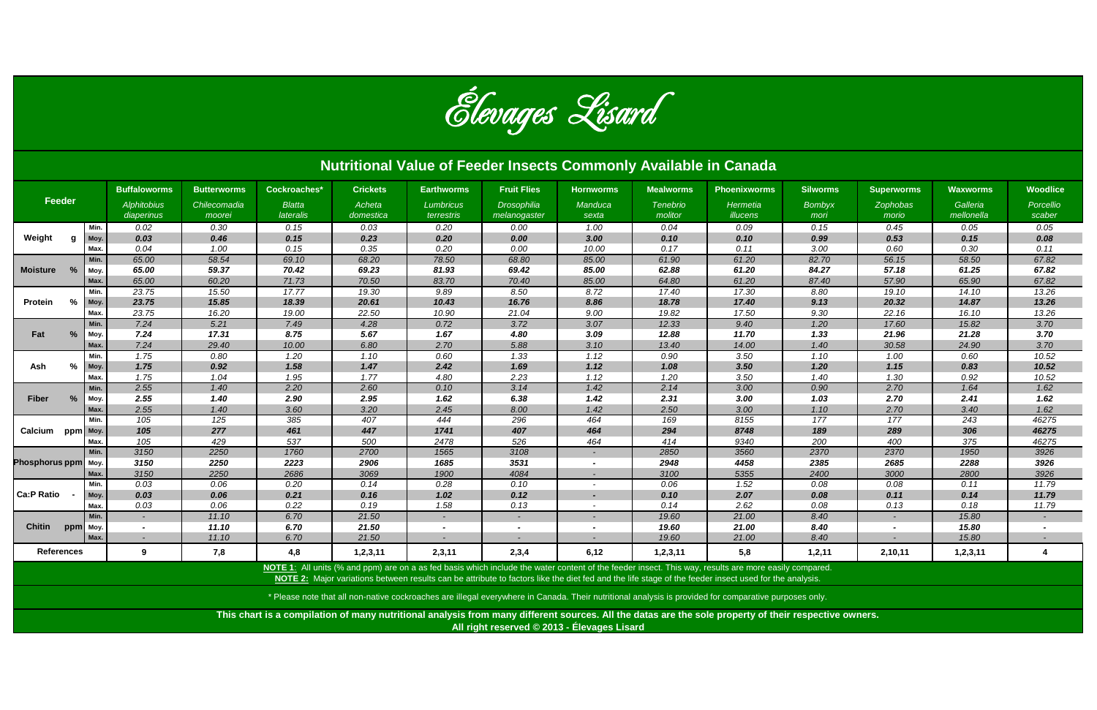| <b>Nutritional Value of Feeder Insects Commonly Available in Canada</b> |          |                                  |                        |                            |                     |                                |                             |                          |                            |                                                                                                                                                                                                                                                                                                                |                       |                   |                        |                          |
|-------------------------------------------------------------------------|----------|----------------------------------|------------------------|----------------------------|---------------------|--------------------------------|-----------------------------|--------------------------|----------------------------|----------------------------------------------------------------------------------------------------------------------------------------------------------------------------------------------------------------------------------------------------------------------------------------------------------------|-----------------------|-------------------|------------------------|--------------------------|
| Feeder                                                                  |          | <b>Buffaloworms</b>              | <b>Butterworms</b>     | Cockroaches*               | <b>Crickets</b>     | <b>Earthworms</b>              | <b>Fruit Flies</b>          | <b>Hornworms</b>         | <b>Mealworms</b>           | <b>Phoenixworms</b>                                                                                                                                                                                                                                                                                            | <b>Silworms</b>       | <b>Superworms</b> | <b>Waxworms</b>        | <b>Woodlice</b>          |
|                                                                         |          | <b>Alphitobius</b><br>diaperinus | Chilecomadia<br>moorei | <b>Blatta</b><br>lateralis | Acheta<br>domestica | <b>Lumbricus</b><br>terrestris | Drosophilia<br>melanogaster | Manduca<br>sexta         | <b>Tenebrio</b><br>molitor | Hermetia<br>illucens                                                                                                                                                                                                                                                                                           | <b>Bombyx</b><br>mori | Zophobas<br>morio | Galleria<br>mellonella | Porcellio<br>scaber      |
|                                                                         | Min.     | 0.02                             | 0.30                   | 0.15                       | 0.03                | 0.20                           | 0.00                        | 1.00                     | 0.04                       | 0.09                                                                                                                                                                                                                                                                                                           | 0.15                  | 0.45              | 0.05                   | 0.05                     |
| Weight<br>g                                                             | Moy.     | 0.03                             | 0.46                   | 0.15                       | 0.23                | 0.20                           | 0.00                        | 3.00                     | 0.10                       | 0.10                                                                                                                                                                                                                                                                                                           | 0.99                  | 0.53              | 0.15                   | 0.08                     |
|                                                                         | Max      | 0.04                             | 1.00                   | 0.15                       | 0.35                | 0.20                           | 0.00                        | 10.00                    | 0.17                       | 0.11                                                                                                                                                                                                                                                                                                           | 3.00                  | 0.60              | 0.30                   | 0.11                     |
| Moisture %                                                              | Min.     | 65.00                            | 58.54                  | 69.10                      | 68.20               | 78.50                          | 68.80                       | 85.00                    | 61.90                      | 61.20                                                                                                                                                                                                                                                                                                          | 82.70                 | 56.15             | 58.50                  | 67.82                    |
|                                                                         | Moy.     | 65.00                            | 59.37                  | 70.42                      | 69.23               | 81.93                          | 69.42                       | 85.00                    | 62.88                      | 61.20                                                                                                                                                                                                                                                                                                          | 84.27                 | 57.18             | 61.25                  | 67.82                    |
|                                                                         | Max.     | 65.00                            | 60.20                  | 71.73                      | 70.50               | 83.70                          | 70.40                       | 85.00                    | 64.80                      | 61.20                                                                                                                                                                                                                                                                                                          | 87.40                 | 57.90             | 65.90                  | 67.82                    |
| %<br><b>Protein</b>                                                     | Min.     | 23.75                            | 15.50                  | 17.77                      | 19.30               | 9.89                           | 8.50                        | 8.72                     | 17.40                      | 17.30                                                                                                                                                                                                                                                                                                          | 8.80                  | 19.10             | 14.10                  | 13.26                    |
|                                                                         | Moy.     | 23.75                            | 15.85                  | 18.39                      | 20.61               | 10.43                          | 16.76                       | 8.86                     | 18.78                      | 17.40                                                                                                                                                                                                                                                                                                          | 9.13                  | 20.32             | 14.87                  | 13.26                    |
|                                                                         | Max.     | 23.75                            | 16.20                  | 19.00                      | 22.50               | 10.90                          | 21.04                       | 9.00                     | 19.82                      | 17.50                                                                                                                                                                                                                                                                                                          | 9.30                  | 22.16             | 16.10                  | 13.26                    |
|                                                                         | Min.     | 7.24                             | 5.21                   | 7.49                       | 4.28                | 0.72                           | 3.72                        | 3.07                     | 12.33                      | 9.40                                                                                                                                                                                                                                                                                                           | 1.20                  | 17.60             | 15.82                  | 3.70                     |
| Fat<br>%                                                                | Moy.     | 7.24                             | 17.31                  | 8.75                       | 5.67                | 1.67                           | 4.80                        | 3.09                     | 12.88                      | 11.70                                                                                                                                                                                                                                                                                                          | 1.33                  | 21.96             | 21.28                  | 3.70                     |
|                                                                         | Max.     | 7.24                             | 29.40                  | 10.00                      | 6.80                | 2.70                           | 5.88                        | 3.10                     | 13.40                      | 14.00                                                                                                                                                                                                                                                                                                          | 1.40                  | 30.58             | 24.90                  | 3.70                     |
|                                                                         | Min.     | 1.75                             | 0.80                   | 1.20                       | 1.10                | 0.60                           | 1.33                        | 1.12                     | 0.90                       | 3.50                                                                                                                                                                                                                                                                                                           | 1.10                  | 1.00              | 0.60                   | 10.52                    |
| %<br>Ash                                                                | Moy.     | 1.75                             | 0.92                   | 1.58                       | 1.47                | 2.42                           | 1.69                        | 1.12                     | 1.08                       | 3.50                                                                                                                                                                                                                                                                                                           | 1.20                  | 1.15              | 0.83                   | 10.52                    |
|                                                                         | Max.     | 1.75                             | 1.04                   | 1.95                       | 1.77                | 4.80                           | 2.23                        | 1.12                     | 1.20                       | 3.50                                                                                                                                                                                                                                                                                                           | 1.40                  | 1.30              | 0.92                   | 10.52                    |
|                                                                         | Min.     | 2.55                             | 1.40                   | 2.20                       | 2.60                | 0.10                           | 3.14                        | 1.42                     | 2.14                       | 3.00                                                                                                                                                                                                                                                                                                           | 0.90                  | 2.70              | 1.64                   | 1.62                     |
| $\%$<br><b>Fiber</b>                                                    | Moy.     | 2.55                             | 1.40                   | 2.90                       | 2.95                | 1.62                           | 6.38                        | 1.42                     | 2.31                       | 3.00                                                                                                                                                                                                                                                                                                           | 1.03                  | 2.70              | 2.41                   | 1.62                     |
|                                                                         | Max.     | 2.55                             | 1.40                   | 3.60                       | 3.20                | 2.45                           | 8.00                        | 1.42                     | 2.50                       | 3.00                                                                                                                                                                                                                                                                                                           | 1.10                  | 2.70              | 3.40                   | 1.62                     |
|                                                                         | Min.     | 105                              | 125                    | 385                        | 407                 | 444                            | 296                         | 464                      | 169                        | 8155                                                                                                                                                                                                                                                                                                           | 177                   | 177               | 243                    | 46275                    |
| Calcium ppm Moy.                                                        |          | 105                              | 277                    | 461                        | 447                 | 1741                           | 407                         | 464                      | 294                        | 8748                                                                                                                                                                                                                                                                                                           | 189                   | 289               | 306                    | 46275                    |
|                                                                         | Max      | 105                              | 429                    | 537                        | 500                 | 2478                           | 526                         | 464                      | 414                        | 9340                                                                                                                                                                                                                                                                                                           | 200                   | 400               | 375                    | 46275                    |
| <b>Phosphorus ppm</b>                                                   | Min.     | 3150                             | 2250                   | 1760                       | 2700                | 1565                           | 3108                        |                          | 2850                       | 3560                                                                                                                                                                                                                                                                                                           | 2370                  | 2370              | 1950                   | 3926                     |
|                                                                         | Moy.     | 3150                             | 2250                   | 2223                       | 2906                | 1685                           | 3531                        |                          | 2948                       | 4458                                                                                                                                                                                                                                                                                                           | 2385                  | 2685              | 2288                   | 3926                     |
|                                                                         | Max.     | 3150                             | 2250                   | 2686                       | 3069                | 1900                           | 4084                        | $\overline{\phantom{a}}$ | 3100                       | 5355                                                                                                                                                                                                                                                                                                           | 2400                  | 3000              | 2800                   | 3926                     |
|                                                                         | Min.     | 0.03                             | 0.06                   | 0.20                       | 0.14                | 0.28                           | 0.10                        | $\overline{\phantom{0}}$ | 0.06                       | 1.52                                                                                                                                                                                                                                                                                                           | 0.08                  | 0.08              | 0.11                   | 11.79                    |
| <b>Ca:P Ratio</b>                                                       | Moy.     | 0.03                             | 0.06                   | 0.21                       | 0.16                | 1.02                           | 0.12                        | $\overline{\phantom{a}}$ | 0.10                       | 2.07                                                                                                                                                                                                                                                                                                           | 0.08                  | 0.11              | 0.14                   | 11.79                    |
|                                                                         | Max.     | 0.03                             | 0.06                   | 0.22                       | 0.19                | 1.58                           | 0.13                        |                          | 0.14                       | 2.62                                                                                                                                                                                                                                                                                                           | $0.08\,$              | 0.13              | 0.18                   | 11.79                    |
|                                                                         | Min.     | $\sim$                           | 11.10                  | 6.70                       | 21.50               |                                | $\blacksquare$              |                          | 19.60                      | 21.00                                                                                                                                                                                                                                                                                                          | 8.40                  |                   | 15.80                  | $\blacksquare$           |
| <b>Chitin</b>                                                           | ppm Moy. | $\overline{\phantom{a}}$         | 11.10                  | 6.70                       | 21.50               |                                | $\sim$                      |                          | 19.60                      | 21.00                                                                                                                                                                                                                                                                                                          | 8.40                  |                   | 15.80                  | $\overline{\phantom{a}}$ |
|                                                                         | Max.     | $\sim$                           | 11.10                  | 6.70                       | 21.50               |                                | $\sim$                      |                          | 19.60                      | 21.00                                                                                                                                                                                                                                                                                                          | 8.40                  |                   | 15.80                  | $\sim$                   |
| <b>References</b>                                                       |          | 9                                | 7,8                    | 4,8                        | 1,2,3,11            | 2,3,11                         | 2,3,4                       | 6,12                     | 1, 2, 3, 11                | 5,8                                                                                                                                                                                                                                                                                                            | 1,2,11                | 2,10,11           | 1, 2, 3, 11            | $\overline{\mathbf{4}}$  |
|                                                                         |          |                                  |                        |                            |                     |                                |                             |                          |                            | NOTE 1: All units (% and ppm) are on a as fed basis which include the water content of the feeder insect. This way, results are more easily compared.<br>NOTE 2: Major variations between results can be attribute to factors like the diet fed and the life stage of the feeder insect used for the analysis. |                       |                   |                        |                          |



**This chart is a compilation of many nutritional analysis from many different sources. All the datas are the sole property of their respective owners. All right reserved © 2013 - Élevages Lisard**

\* Please note that all non-native cockroaches are illegal everywhere in Canada. Their nutritional analysis is provided for comparative purposes only.